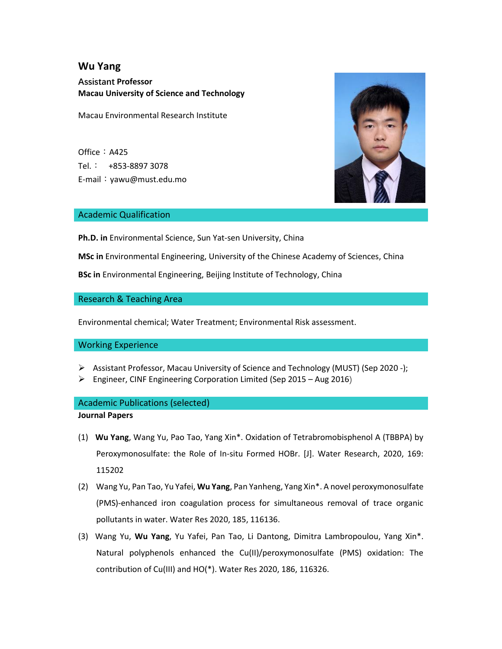# **Wu Yang**

**Assistant Professor Macau University of Science and Technology**

Macau Environmental Research Institute

Office: A425 Tel.: +853-8897 3078 E-mail:yawu@must.edu.mo



### Academic Qualification

**Ph.D. in** Environmental Science, Sun Yat-sen University, China

**MSc in** Environmental Engineering, University of the Chinese Academy of Sciences, China

**BSc in** Environmental Engineering, Beijing Institute of Technology, China

### Research & Teaching Area

Environmental chemical; Water Treatment; Environmental Risk assessment.

#### Working Experience

- Assistant Professor, Macau University of Science and Technology (MUST) (Sep 2020 -);
- $\triangleright$  Engineer, CINF Engineering Corporation Limited (Sep 2015 Aug 2016)

## Academic Publications (selected)

**Journal Papers**

- (1) **Wu Yang**, Wang Yu, Pao Tao, Yang Xin\*. Oxidation of Tetrabromobisphenol A (TBBPA) by Peroxymonosulfate: the Role of In-situ Formed HOBr. [J]. Water Research, 2020, 169: 115202
- (2) Wang Yu, Pan Tao, Yu Yafei, **Wu Yang**, Pan Yanheng, Yang Xin\*. A novel peroxymonosulfate (PMS)-enhanced iron coagulation process for simultaneous removal of trace organic pollutants in water. Water Res 2020, 185, 116136.
- (3) Wang Yu, **Wu Yang**, Yu Yafei, Pan Tao, Li Dantong, Dimitra Lambropoulou, Yang Xin\*. Natural polyphenols enhanced the Cu(II)/peroxymonosulfate (PMS) oxidation: The contribution of Cu(III) and HO(\*). Water Res 2020, 186, 116326.